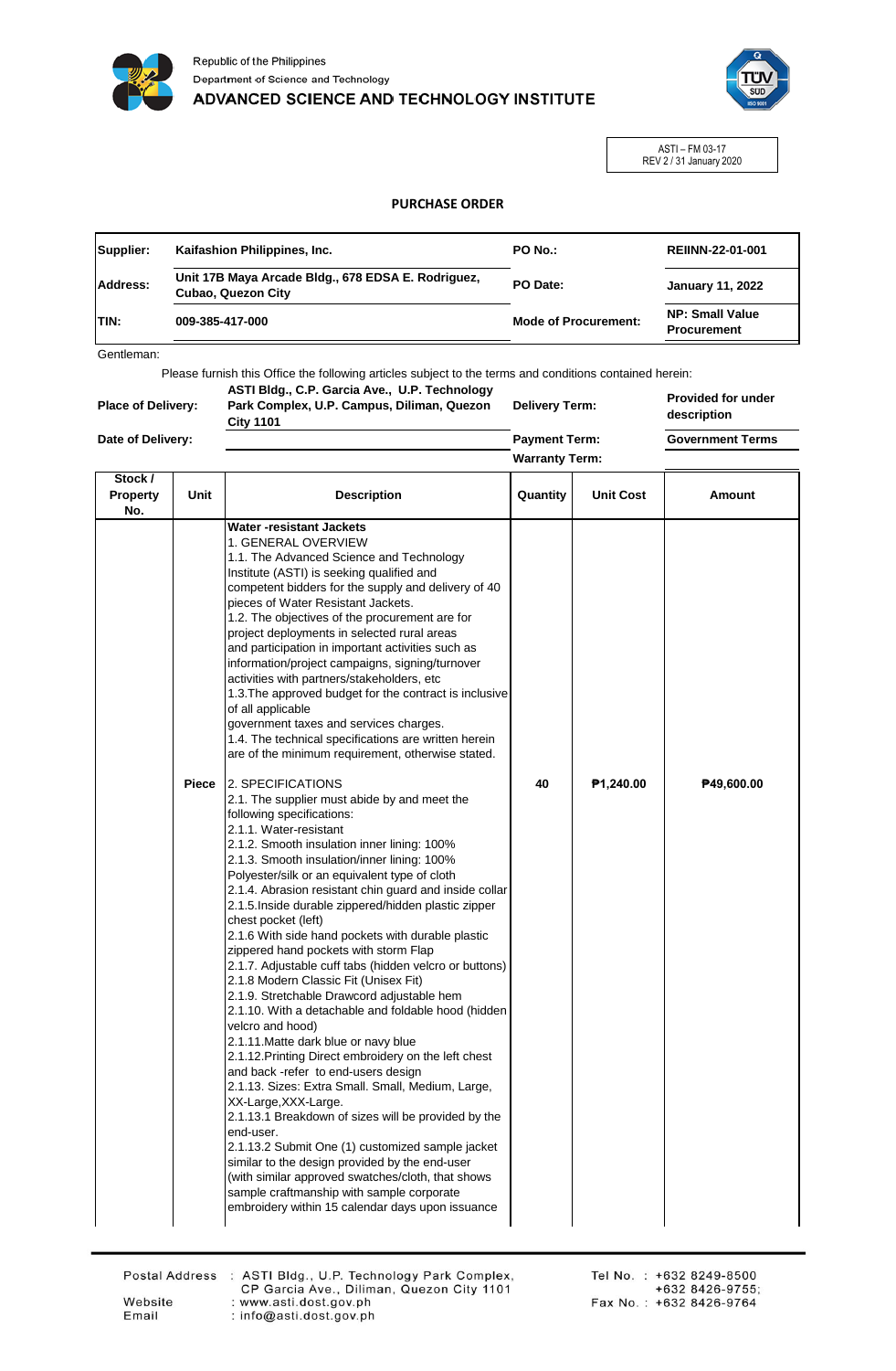



ASTI – FM 03-17 REV 2 / 31 January 2020

## **PURCHASE ORDER**

| Unit 17B Maya Arcade Bldg., 678 EDSA E. Rodriguez,<br><b>Address:</b><br>PO Date:<br><b>January 11, 2022</b><br><b>Cubao, Quezon City</b><br><b>NP: Small Value</b><br><b>Mode of Procurement:</b><br>009-385-417-000<br><b>Procurement</b> | Supplier: | Kaifashion Philippines, Inc. | PO No.: | <b>REIINN-22-01-001</b> |
|---------------------------------------------------------------------------------------------------------------------------------------------------------------------------------------------------------------------------------------------|-----------|------------------------------|---------|-------------------------|
| <b>TIN:</b>                                                                                                                                                                                                                                 |           |                              |         |                         |
|                                                                                                                                                                                                                                             |           |                              |         |                         |

Gentleman:

Please furnish this Office the following articles subject to the terms and conditions contained herein:

| <b>Place of Delivery:</b> | ASTI Bldg., C.P. Garcia Ave., U.P. Technology<br>Park Complex, U.P. Campus, Diliman, Quezon<br><b>City 1101</b> | <b>Delivery Term:</b> | <b>Provided for under</b><br>description |
|---------------------------|-----------------------------------------------------------------------------------------------------------------|-----------------------|------------------------------------------|
| Date of Delivery:         |                                                                                                                 | <b>Payment Term:</b>  | <b>Government Terms</b>                  |
|                           |                                                                                                                 | <b>Warranty Term:</b> |                                          |

| Stock /<br>Property<br>No. | <b>Unit</b> | <b>Description</b>                                                                                                                                                                                                                                                                                                                                                                                                                                                                                                                                                                                                                                                                                                                                                                                                                                                                                                                                                                                                                                                                                                                                                                                                                                                                                    | Quantity | <b>Unit Cost</b> | Amount     |
|----------------------------|-------------|-------------------------------------------------------------------------------------------------------------------------------------------------------------------------------------------------------------------------------------------------------------------------------------------------------------------------------------------------------------------------------------------------------------------------------------------------------------------------------------------------------------------------------------------------------------------------------------------------------------------------------------------------------------------------------------------------------------------------------------------------------------------------------------------------------------------------------------------------------------------------------------------------------------------------------------------------------------------------------------------------------------------------------------------------------------------------------------------------------------------------------------------------------------------------------------------------------------------------------------------------------------------------------------------------------|----------|------------------|------------|
|                            |             | <b>Water-resistant Jackets</b><br>1. GENERAL OVERVIEW<br>1.1. The Advanced Science and Technology<br>Institute (ASTI) is seeking qualified and<br>competent bidders for the supply and delivery of 40<br>pieces of Water Resistant Jackets.<br>1.2. The objectives of the procurement are for<br>project deployments in selected rural areas<br>and participation in important activities such as<br>information/project campaigns, signing/turnover<br>activities with partners/stakeholders, etc<br>1.3. The approved budget for the contract is inclusive<br>of all applicable<br>government taxes and services charges.<br>1.4. The technical specifications are written herein<br>are of the minimum requirement, otherwise stated.                                                                                                                                                                                                                                                                                                                                                                                                                                                                                                                                                              |          |                  |            |
|                            | Piece       | <b>2. SPECIFICATIONS</b><br>2.1. The supplier must abide by and meet the<br>following specifications:<br>2.1.1. Water-resistant<br>2.1.2. Smooth insulation inner lining: 100%<br>2.1.3. Smooth insulation/inner lining: 100%<br>Polyester/silk or an equivalent type of cloth<br>2.1.4. Abrasion resistant chin guard and inside collar<br>2.1.5. Inside durable zippered/hidden plastic zipper<br>chest pocket (left)<br>2.1.6 With side hand pockets with durable plastic<br>zippered hand pockets with storm Flap<br>2.1.7. Adjustable cuff tabs (hidden velcro or buttons)<br>2.1.8 Modern Classic Fit (Unisex Fit)<br>2.1.9. Stretchable Drawcord adjustable hem<br>2.1.10. With a detachable and foldable hood (hidden<br>velcro and hood)<br>2.1.11. Matte dark blue or navy blue<br>2.1.12. Printing Direct embroidery on the left chest<br>and back -refer to end-users design<br>2.1.13. Sizes: Extra Small. Small, Medium, Large,<br>XX-Large, XXX-Large.<br>2.1.13.1 Breakdown of sizes will be provided by the<br>end-user.<br>2.1.13.2 Submit One (1) customized sample jacket<br>similar to the design provided by the end-user<br>(with similar approved swatches/cloth, that shows<br>sample craftmanship with sample corporate<br>embroidery within 15 calendar days upon issuance | 40       | P1,240.00        | P49,600.00 |

Email